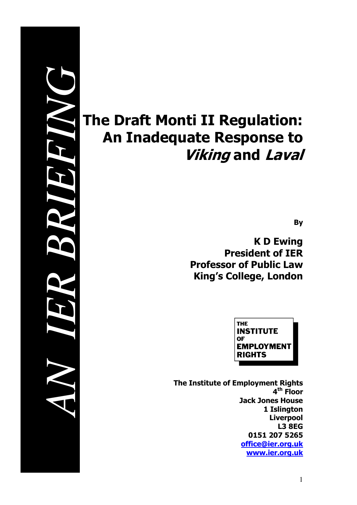# *AN IER BRIEFING*

# The Draft Monti II Regulation: An Inadequate Response to **Viking and Laval**

By

K D Ewing President of IER Professor of Public Law King's College, London



The Institute of Employment Rights 4<sup>th</sup> Floor Jack Jones House 1 Islington Liverpool L3 8EG 0151 207 5265 office@ier.org.uk www.ier.org.uk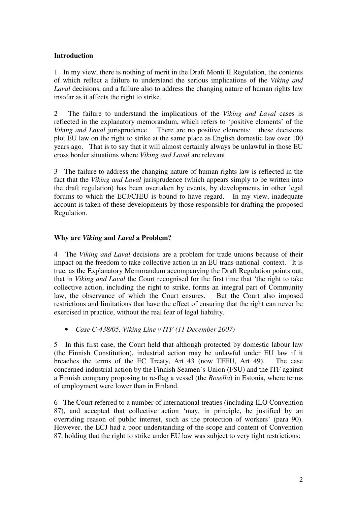### **Introduction**

1 In my view, there is nothing of merit in the Draft Monti II Regulation, the contents of which reflect a failure to understand the serious implications of the *Viking and Laval* decisions, and a failure also to address the changing nature of human rights law insofar as it affects the right to strike.

2 The failure to understand the implications of the *Viking and Laval* cases is reflected in the explanatory memorandum, which refers to 'positive elements' of the *Viking and Laval* jurisprudence. There are no positive elements: these decisions plot EU law on the right to strike at the same place as English domestic law over 100 years ago. That is to say that it will almost certainly always be unlawful in those EU cross border situations where *Viking and Laval* are relevant.

3 The failure to address the changing nature of human rights law is reflected in the fact that the *Viking and Laval* jurisprudence (which appears simply to be written into the draft regulation) has been overtaken by events, by developments in other legal forums to which the ECJ/CJEU is bound to have regard. In my view, inadequate account is taken of these developments by those responsible for drafting the proposed Regulation.

### **Why are** *Viking* **and** *Laval* **a Problem?**

4 The *Viking and Laval* decisions are a problem for trade unions because of their impact on the freedom to take collective action in an EU trans-national context. It is true, as the Explanatory Memorandum accompanying the Draft Regulation points out, that in *Viking and Laval* the Court recognised for the first time that 'the right to take collective action, including the right to strike, forms an integral part of Community law, the observance of which the Court ensures. But the Court also imposed restrictions and limitations that have the effect of ensuring that the right can never be exercised in practice, without the real fear of legal liability.

• *Case C-438/05, Viking Line v ITF (11 December 2007)*

5 In this first case, the Court held that although protected by domestic labour law (the Finnish Constitution), industrial action may be unlawful under EU law if it breaches the terms of the EC Treaty, Art 43 (now TFEU, Art 49). The case concerned industrial action by the Finnish Seamen's Union (FSU) and the ITF against a Finnish company proposing to re-flag a vessel (the *Rosella*) in Estonia, where terms of employment were lower than in Finland.

6 The Court referred to a number of international treaties (including ILO Convention 87), and accepted that collective action 'may, in principle, be justified by an overriding reason of public interest, such as the protection of workers' (para 90). However, the ECJ had a poor understanding of the scope and content of Convention 87, holding that the right to strike under EU law was subject to very tight restrictions: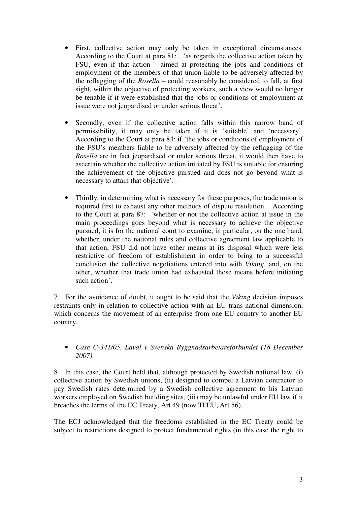- First, collective action may only be taken in exceptional circumstances. According to the Court at para 81: 'as regards the collective action taken by FSU, even if that action – aimed at protecting the jobs and conditions of employment of the members of that union liable to be adversely affected by the reflagging of the *Rosella* – could reasonably be considered to fall, at first sight, within the objective of protecting workers, such a view would no longer be tenable if it were established that the jobs or conditions of employment at issue were not jeopardised or under serious threat'.
- Secondly, even if the collective action falls within this narrow band of permissibility, it may only be taken if it is 'suitable' and 'necessary'. According to the Court at para 84: if 'the jobs or conditions of employment of the FSU's members liable to be adversely affected by the reflagging of the *Rosella* are in fact jeopardised or under serious threat, it would then have to ascertain whether the collective action initiated by FSU is suitable for ensuring the achievement of the objective pursued and does not go beyond what is necessary to attain that objective'.
- Thirdly, in determining what is necessary for these purposes, the trade union is required first to exhaust any other methods of dispute resolution. According to the Court at para 87: 'whether or not the collective action at issue in the main proceedings goes beyond what is necessary to achieve the objective pursued, it is for the national court to examine, in particular, on the one hand, whether, under the national rules and collective agreement law applicable to that action, FSU did not have other means at its disposal which were less restrictive of freedom of establishment in order to bring to a successful conclusion the collective negotiations entered into with *Viking*, and, on the other, whether that trade union had exhausted those means before initiating such action'.

7 For the avoidance of doubt, it ought to be said that the *Viking* decision imposes restraints only in relation to collective action with an EU trans-national dimension, which concerns the movement of an enterprise from one EU country to another EU country.

• *Case C-341/05, Laval v Svenska Byggnadsarbetareforbundet (18 December 2007)* 

8 In this case, the Court held that, although protected by Swedish national law, (i) collective action by Swedish unions, (ii) designed to compel a Latvian contractor to pay Swedish rates determined by a Swedish collective agreement to his Latvian workers employed on Swedish building sites, (iii) may be unlawful under EU law if it breaches the terms of the EC Treaty, Art 49 (now TFEU, Art 56).

The ECJ acknowledged that the freedoms established in the EC Treaty could be subject to restrictions designed to protect fundamental rights (in this case the right to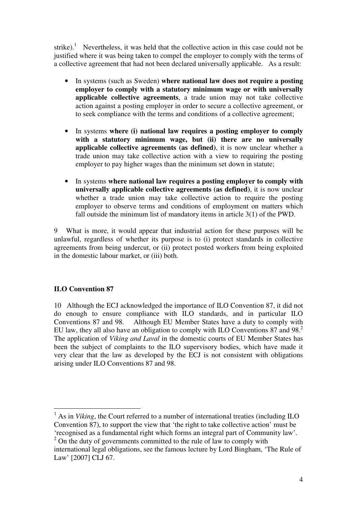strike).<sup>1</sup> Nevertheless, it was held that the collective action in this case could not be justified where it was being taken to compel the employer to comply with the terms of a collective agreement that had not been declared universally applicable. As a result:

- In systems (such as Sweden) **where national law does not require a posting employer to comply with a statutory minimum wage or with universally applicable collective agreements**, a trade union may not take collective action against a posting employer in order to secure a collective agreement, or to seek compliance with the terms and conditions of a collective agreement;
- In systems **where (i) national law requires a posting employer to comply with a statutory minimum wage, but (ii) there are no universally applicable collective agreements (as defined)**, it is now unclear whether a trade union may take collective action with a view to requiring the posting employer to pay higher wages than the minimum set down in statute;
- In systems **where national law requires a posting employer to comply with universally applicable collective agreements (as defined)**, it is now unclear whether a trade union may take collective action to require the posting employer to observe terms and conditions of employment on matters which fall outside the minimum list of mandatory items in article 3(1) of the PWD.

9 What is more, it would appear that industrial action for these purposes will be unlawful, regardless of whether its purpose is to (i) protect standards in collective agreements from being undercut, or (ii) protect posted workers from being exploited in the domestic labour market, or (iii) both.

### **ILO Convention 87**

10 Although the ECJ acknowledged the importance of ILO Convention 87, it did not do enough to ensure compliance with ILO standards, and in particular ILO Conventions 87 and 98. Although EU Member States have a duty to comply with EU law, they all also have an obligation to comply with ILO Conventions 87 and 98. $2$ The application of *Viking and Laval* in the domestic courts of EU Member States has been the subject of complaints to the ILO supervisory bodies, which have made it very clear that the law as developed by the ECJ is not consistent with obligations arising under ILO Conventions 87 and 98.

 $\overline{a}$ <sup>1</sup> As in *Viking*, the Court referred to a number of international treaties (including ILO Convention 87), to support the view that 'the right to take collective action' must be 'recognised as a fundamental right which forms an integral part of Community law'.

 $2^2$  On the duty of governments committed to the rule of law to comply with international legal obligations, see the famous lecture by Lord Bingham, 'The Rule of Law' [2007] CLJ 67.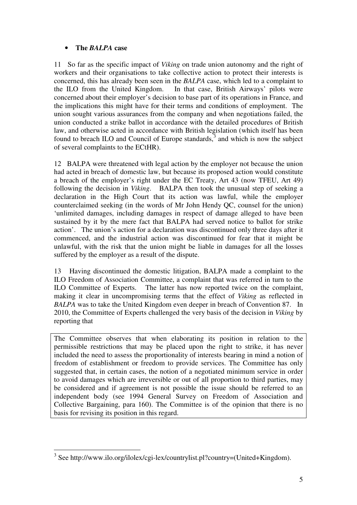# • **The** *BALPA* **case**

11 So far as the specific impact of *Viking* on trade union autonomy and the right of workers and their organisations to take collective action to protect their interests is concerned, this has already been seen in the *BALPA* case, which led to a complaint to the ILO from the United Kingdom. In that case, British Airways' pilots were In that case, British Airways' pilots were concerned about their employer's decision to base part of its operations in France, and the implications this might have for their terms and conditions of employment. The union sought various assurances from the company and when negotiations failed, the union conducted a strike ballot in accordance with the detailed procedures of British law, and otherwise acted in accordance with British legislation (which itself has been found to breach ILO and Council of Europe standards, $3$  and which is now the subject of several complaints to the ECtHR).

12 BALPA were threatened with legal action by the employer not because the union had acted in breach of domestic law, but because its proposed action would constitute a breach of the employer's right under the EC Treaty, Art 43 (now TFEU, Art 49) following the decision in *Viking*. BALPA then took the unusual step of seeking a declaration in the High Court that its action was lawful, while the employer counterclaimed seeking (in the words of Mr John Hendy QC, counsel for the union) 'unlimited damages, including damages in respect of damage alleged to have been sustained by it by the mere fact that BALPA had served notice to ballot for strike action'. The union's action for a declaration was discontinued only three days after it commenced, and the industrial action was discontinued for fear that it might be unlawful, with the risk that the union might be liable in damages for all the losses suffered by the employer as a result of the dispute.

13 Having discontinued the domestic litigation, BALPA made a complaint to the ILO Freedom of Association Committee, a complaint that was referred in turn to the ILO Committee of Experts. The latter has now reported twice on the complaint, making it clear in uncompromising terms that the effect of *Viking* as reflected in *BALPA* was to take the United Kingdom even deeper in breach of Convention 87. In 2010, the Committee of Experts challenged the very basis of the decision in *Viking* by reporting that

The Committee observes that when elaborating its position in relation to the permissible restrictions that may be placed upon the right to strike, it has never included the need to assess the proportionality of interests bearing in mind a notion of freedom of establishment or freedom to provide services. The Committee has only suggested that, in certain cases, the notion of a negotiated minimum service in order to avoid damages which are irreversible or out of all proportion to third parties, may be considered and if agreement is not possible the issue should be referred to an independent body (see 1994 General Survey on Freedom of Association and Collective Bargaining, para 160). The Committee is of the opinion that there is no basis for revising its position in this regard.

 $\overline{a}$ <sup>3</sup> See http://www.ilo.org/ilolex/cgi-lex/countrylist.pl?country=(United+Kingdom).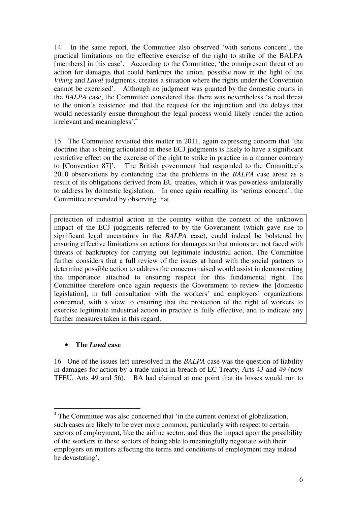14 In the same report, the Committee also observed 'with serious concern', the practical limitations on the effective exercise of the right to strike of the BALPA [members] in this case'. According to the Committee, 'the omnipresent threat of an action for damages that could bankrupt the union, possible now in the light of the *Viking* and *Laval* judgments, creates a situation where the rights under the Convention cannot be exercised'. Although no judgment was granted by the domestic courts in the *BALPA* case, the Committee considered that there was nevertheless 'a real threat to the union's existence and that the request for the injunction and the delays that would necessarily ensue throughout the legal process would likely render the action irrelevant and meaningless'.<sup>4</sup>

15 The Committee revisited this matter in 2011, again expressing concern that 'the doctrine that is being articulated in these ECJ judgments is likely to have a significant restrictive effect on the exercise of the right to strike in practice in a manner contrary to [Convention 87]'. The British government had responded to the Committee's 2010 observations by contending that the problems in the *BALPA* case arose as a result of its obligations derived from EU treaties, which it was powerless unilaterally to address by domestic legislation. In once again recalling its 'serious concern', the Committee responded by observing that

protection of industrial action in the country within the context of the unknown impact of the ECJ judgments referred to by the Government (which gave rise to significant legal uncertainty in the *BALPA* case), could indeed be bolstered by ensuring effective limitations on actions for damages so that unions are not faced with threats of bankruptcy for carrying out legitimate industrial action. The Committee further considers that a full review of the issues at hand with the social partners to determine possible action to address the concerns raised would assist in demonstrating the importance attached to ensuring respect for this fundamental right. The Committee therefore once again requests the Government to review the [domestic legislation], in full consultation with the workers' and employers' organizations concerned, with a view to ensuring that the protection of the right of workers to exercise legitimate industrial action in practice is fully effective, and to indicate any further measures taken in this regard.

### • **The** *Laval* **case**

16 One of the issues left unresolved in the *BALPA* case was the question of liability in damages for action by a trade union in breach of EC Treaty, Arts 43 and 49 (now TFEU, Arts 49 and 56). BA had claimed at one point that its losses would run to

 $\overline{a}$ <sup>4</sup> The Committee was also concerned that 'in the current context of globalization, such cases are likely to be ever more common, particularly with respect to certain sectors of employment, like the airline sector, and thus the impact upon the possibility of the workers in these sectors of being able to meaningfully negotiate with their employers on matters affecting the terms and conditions of employment may indeed be devastating'.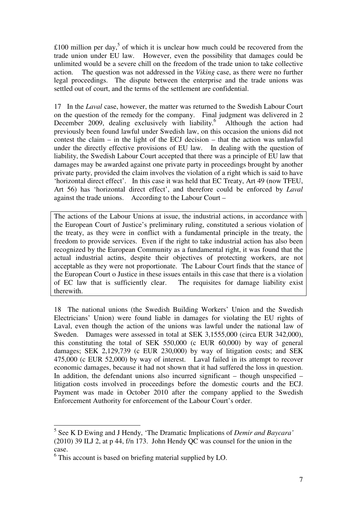£100 million per day,<sup>5</sup> of which it is unclear how much could be recovered from the trade union under EU law. However, even the possibility that damages could be unlimited would be a severe chill on the freedom of the trade union to take collective action. The question was not addressed in the *Viking* case, as there were no further legal proceedings. The dispute between the enterprise and the trade unions was settled out of court, and the terms of the settlement are confidential.

17 In the *Laval* case, however, the matter was returned to the Swedish Labour Court on the question of the remedy for the company. Final judgment was delivered in 2 December 2009, dealing exclusively with liability.<sup>6</sup> Although the action had previously been found lawful under Swedish law, on this occasion the unions did not contest the claim – in the light of the ECJ decision – that the action was unlawful under the directly effective provisions of EU law. In dealing with the question of liability, the Swedish Labour Court accepted that there was a principle of EU law that damages may be awarded against one private party in proceedings brought by another private party, provided the claim involves the violation of a right which is said to have 'horizontal direct effect'. In this case it was held that EC Treaty, Art 49 (now TFEU, Art 56) has 'horizontal direct effect', and therefore could be enforced by *Laval* against the trade unions. According to the Labour Court –

The actions of the Labour Unions at issue, the industrial actions, in accordance with the European Court of Justice's preliminary ruling, constituted a serious violation of the treaty, as they were in conflict with a fundamental principle in the treaty, the freedom to provide services. Even if the right to take industrial action has also been recognized by the European Community as a fundamental right, it was found that the actual industrial actins, despite their objectives of protecting workers, are not acceptable as they were not proportionate. The Labour Court finds that the stance of the European Court o Justice in these issues entails in this case that there is a violation of EC law that is sufficiently clear. The requisites for damage liability exist therewith.

18 The national unions (the Swedish Building Workers' Union and the Swedish Electricians' Union) were found liable in damages for violating the EU rights of Laval, even though the action of the unions was lawful under the national law of Sweden. Damages were assessed in total at SEK 3,1555,000 (circa EUR 342,000), this constituting the total of SEK 550,000 (c EUR 60,000) by way of general damages; SEK 2,129,739 (c EUR 230,000) by way of litigation costs; and SEK 475,000 (c EUR 52,000) by way of interest. Laval failed in its attempt to recover economic damages, because it had not shown that it had suffered the loss in question. In addition, the defendant unions also incurred significant – though unspecified – litigation costs involved in proceedings before the domestic courts and the ECJ. Payment was made in October 2010 after the company applied to the Swedish Enforcement Authority for enforcement of the Labour Court's order.

<sup>5</sup> See K D Ewing and J Hendy, 'The Dramatic Implications of *Demir and Baycara'* (2010) 39 ILJ 2, at p 44, f/n 173. John Hendy QC was counsel for the union in the case.

<sup>&</sup>lt;sup>6</sup> This account is based on briefing material supplied by LO.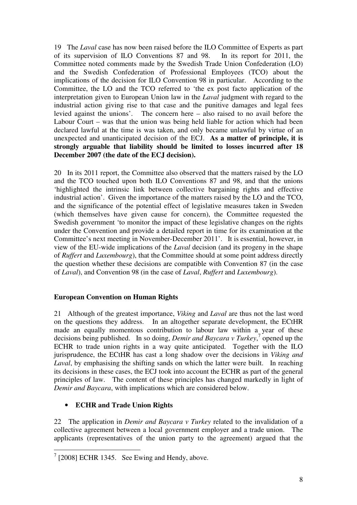19 The *Laval* case has now been raised before the ILO Committee of Experts as part of its supervision of ILO Conventions 87 and 98. In its report for 2011, the Committee noted comments made by the Swedish Trade Union Confederation (LO) and the Swedish Confederation of Professional Employees (TCO) about the implications of the decision for ILO Convention 98 in particular. According to the Committee, the LO and the TCO referred to 'the ex post facto application of the interpretation given to European Union law in the *Laval* judgment with regard to the industrial action giving rise to that case and the punitive damages and legal fees levied against the unions'. The concern here – also raised to no avail before the Labour Court – was that the union was being held liable for action which had been declared lawful at the time is was taken, and only became unlawful by virtue of an unexpected and unanticipated decision of the ECJ. **As a matter of principle, it is strongly arguable that liability should be limited to losses incurred after 18 December 2007 (the date of the ECJ decision).** 

20 In its 2011 report, the Committee also observed that the matters raised by the LO and the TCO touched upon both ILO Conventions 87 and 98, and that the unions 'highlighted the intrinsic link between collective bargaining rights and effective industrial action'. Given the importance of the matters raised by the LO and the TCO, and the significance of the potential effect of legislative measures taken in Sweden (which themselves have given cause for concern), the Committee requested the Swedish government 'to monitor the impact of these legislative changes on the rights under the Convention and provide a detailed report in time for its examination at the Committee's next meeting in November-December 2011'. It is essential, however, in view of the EU-wide implications of the *Laval* decision (and its progeny in the shape of *Ruffert* and *Luxembourg*), that the Committee should at some point address directly the question whether these decisions are compatible with Convention 87 (in the case of *Laval*), and Convention 98 (in the case of *Laval*, *Ruffert* and *Luxembourg*).

### **European Convention on Human Rights**

21 Although of the greatest importance, *Viking* and *Laval* are thus not the last word on the questions they address. In an altogether separate development, the ECtHR made an equally momentous contribution to labour law within a year of these decisions being published. In so doing, *Demir and Baycara v Turkey*,<sup>7</sup> opened up the ECHR to trade union rights in a way quite anticipated. Together with the ILO jurisprudence, the ECtHR has cast a long shadow over the decisions in *Viking and Laval*, by emphasising the shifting sands on which the latter were built. In reaching its decisions in these cases, the ECJ took into account the ECHR as part of the general principles of law. The content of these principles has changed markedly in light of *Demir and Baycara*, with implications which are considered below.

# • **ECHR and Trade Union Rights**

22 The application in *Demir and Baycara v Turkey* related to the invalidation of a collective agreement between a local government employer and a trade union. The applicants (representatives of the union party to the agreement) argued that the

<sup>&</sup>lt;sup>7</sup> [2008] ECHR 1345. See Ewing and Hendy, above.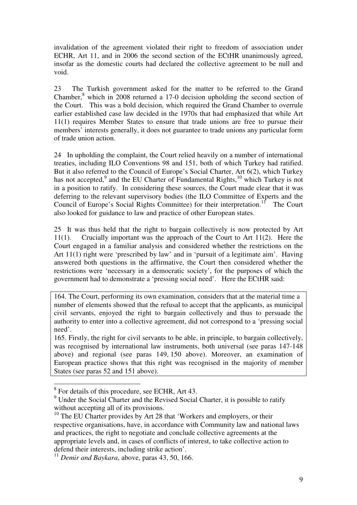invalidation of the agreement violated their right to freedom of association under ECHR, Art 11, and in 2006 the second section of the ECtHR unanimously agreed, insofar as the domestic courts had declared the collective agreement to be null and void.

23 The Turkish government asked for the matter to be referred to the Grand Chamber, $8$  which in 2008 returned a 17-0 decision upholding the second section of the Court. This was a bold decision, which required the Grand Chamber to overrule earlier established case law decided in the 1970s that had emphasized that while Art 11(1) requires Member States to ensure that trade unions are free to pursue their members' interests generally, it does not guarantee to trade unions any particular form of trade union action.

24 In upholding the complaint, the Court relied heavily on a number of international treaties, including ILO Conventions 98 and 151, both of which Turkey had ratified. But it also referred to the Council of Europe's Social Charter, Art 6(2), which Turkey has not accepted,<sup>9</sup> and the EU Charter of Fundamental Rights,<sup>10</sup> which Turkey is not in a position to ratify. In considering these sources, the Court made clear that it was deferring to the relevant supervisory bodies (the ILO Committee of Experts and the Council of Europe's Social Rights Committee) for their interpretation.<sup>11</sup> The Court also looked for guidance to law and practice of other European states.

25 It was thus held that the right to bargain collectively is now protected by Art 11(1). Crucially important was the approach of the Court to Art 11(2). Here the Court engaged in a familiar analysis and considered whether the restrictions on the Art 11(1) right were 'prescribed by law' and in 'pursuit of a legitimate aim'. Having answered both questions in the affirmative, the Court then considered whether the restrictions were 'necessary in a democratic society', for the purposes of which the government had to demonstrate a 'pressing social need'. Here the ECtHR said:

164. The Court, performing its own examination, considers that at the material time a number of elements showed that the refusal to accept that the applicants, as municipal civil servants, enjoyed the right to bargain collectively and thus to persuade the authority to enter into a collective agreement, did not correspond to a 'pressing social need'.

165. Firstly, the right for civil servants to be able, in principle, to bargain collectively, was recognised by international law instruments, both universal (see paras 147-148 above) and regional (see paras 149, 150 above). Moreover, an examination of European practice shows that this right was recognised in the majority of member States (see paras 52 and 151 above).

<sup>&</sup>lt;sup>8</sup> For details of this procedure, see ECHR, Art 43.

<sup>&</sup>lt;sup>9</sup> Under the Social Charter and the Revised Social Charter, it is possible to ratify without accepting all of its provisions.

<sup>&</sup>lt;sup>10</sup> The EU Charter provides by Art 28 that 'Workers and employers, or their respective organisations, have, in accordance with Community law and national laws and practices, the right to negotiate and conclude collective agreements at the appropriate levels and, in cases of conflicts of interest, to take collective action to defend their interests, including strike action'.

<sup>11</sup> *Demir and Baykara*, above, paras 43, 50, 166.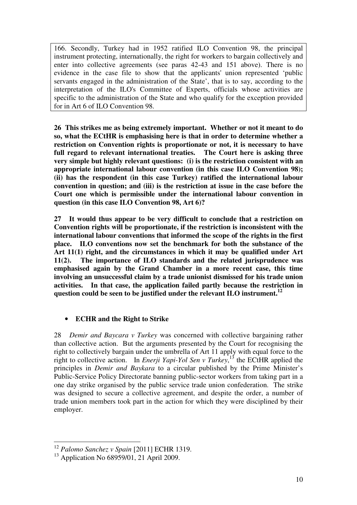166. Secondly, Turkey had in 1952 ratified ILO Convention 98, the principal instrument protecting, internationally, the right for workers to bargain collectively and enter into collective agreements (see paras 42-43 and 151 above). There is no evidence in the case file to show that the applicants' union represented 'public servants engaged in the administration of the State', that is to say, according to the interpretation of the ILO's Committee of Experts, officials whose activities are specific to the administration of the State and who qualify for the exception provided for in Art 6 of ILO Convention 98.

**26 This strikes me as being extremely important. Whether or not it meant to do so, what the ECtHR is emphasising here is that in order to determine whether a restriction on Convention rights is proportionate or not, it is necessary to have full regard to relevant international treaties. The Court here is asking three very simple but highly relevant questions: (i) is the restriction consistent with an appropriate international labour convention (in this case ILO Convention 98); (ii) has the respondent (in this case Turkey) ratified the international labour convention in question; and (iii) is the restriction at issue in the case before the Court one which is permissible under the international labour convention in question (in this case ILO Convention 98, Art 6)?** 

**27 It would thus appear to be very difficult to conclude that a restriction on Convention rights will be proportionate, if the restriction is inconsistent with the international labour conventions that informed the scope of the rights in the first place. ILO conventions now set the benchmark for both the substance of the Art 11(1) right, and the circumstances in which it may be qualified under Art 11(2). The importance of ILO standards and the related jurisprudence was emphasised again by the Grand Chamber in a more recent case, this time involving an unsuccessful claim by a trade unionist dismissed for his trade union activities. In that case, the application failed partly because the restriction in question could be seen to be justified under the relevant ILO instrument.<sup>12</sup>**

### • **ECHR and the Right to Strike**

28 *Demir and Baycara v Turkey* was concerned with collective bargaining rather than collective action. But the arguments presented by the Court for recognising the right to collectively bargain under the umbrella of Art 11 apply with equal force to the right to collective action. In *Enerji Yapi-Yol Sen v Turkey*, <sup>13</sup> the ECtHR applied the principles in *Demir and Baykara* to a circular published by the Prime Minister's Public-Service Policy Directorate banning public-sector workers from taking part in a one day strike organised by the public service trade union confederation. The strike was designed to secure a collective agreement, and despite the order, a number of trade union members took part in the action for which they were disciplined by their employer.

<sup>12</sup> *Palomo Sanchez v Spain* [2011] ECHR 1319.

<sup>&</sup>lt;sup>13</sup> Application No 68959/01, 21 April 2009.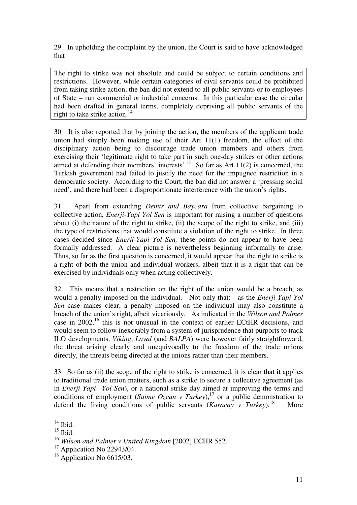29 In upholding the complaint by the union, the Court is said to have acknowledged that

The right to strike was not absolute and could be subject to certain conditions and restrictions. However, while certain categories of civil servants could be prohibited from taking strike action, the ban did not extend to all public servants or to employees of State – run commercial or industrial concerns. In this particular case the circular had been drafted in general terms, completely depriving all public servants of the right to take strike action.<sup>14</sup>

30 It is also reported that by joining the action, the members of the applicant trade union had simply been making use of their Art 11(1) freedom, the effect of the disciplinary action being to discourage trade union members and others from exercising their 'legitimate right to take part in such one-day strikes or other actions aimed at defending their members' interests'.<sup>15</sup> So far as Art  $11(2)$  is concerned, the Turkish government had failed to justify the need for the impugned restriction in a democratic society. According to the Court, the ban did not answer a 'pressing social need', and there had been a disproportionate interference with the union's rights.

31 Apart from extending *Demir and Baycara* from collective bargaining to collective action, *Enerji-Yapi Yol Sen* is important for raising a number of questions about (i) the nature of the right to strike, (ii) the scope of the right to strike, and (iii) the type of restrictions that would constitute a violation of the right to strike. In three cases decided since *Enerji-Yapi Yol Sen,* these points do not appear to have been formally addressed. A clear picture is nevertheless beginning informally to arise. Thus, so far as the first question is concerned, it would appear that the right to strike is a right of both the union and individual workers, albeit that it is a right that can be exercised by individuals only when acting collectively.

32 This means that a restriction on the right of the union would be a breach, as would a penalty imposed on the individual. Not only that: as the *Enerji-Yapi Yol Sen* case makes clear, a penalty imposed on the individual may also constitute a breach of the union's right, albeit vicariously. As indicated in the *Wilson and Palmer*  case in 2002,<sup>16</sup> this is not unusual in the context of earlier ECtHR decisions, and would seem to follow inexorably from a system of jurisprudence that purports to track ILO developments. *Viking*, *Laval* (and *BALPA*) were however fairly straightforward, the threat arising clearly and unequivocally to the freedom of the trade unions directly, the threats being directed at the unions rather than their members.

33 So far as (ii) the scope of the right to strike is concerned, it is clear that it applies to traditional trade union matters, such as a strike to secure a collective agreement (as in *Enerji Yapi –Yol Sen*), or a national strike day aimed at improving the terms and conditions of employment (*Saime Ozcan v Turkey*),<sup>17</sup> or a public demonstration to defend the living conditions of public servants (*Karacay v Turkey*).<sup>18</sup> More

 $14$  Ibid.

 $15$  Ibid.

<sup>16</sup> *Wilson and Palmer v United Kingdom* [2002] ECHR 552.

 $17$  Application No 22943/04.

 $18$  Application No 6615/03.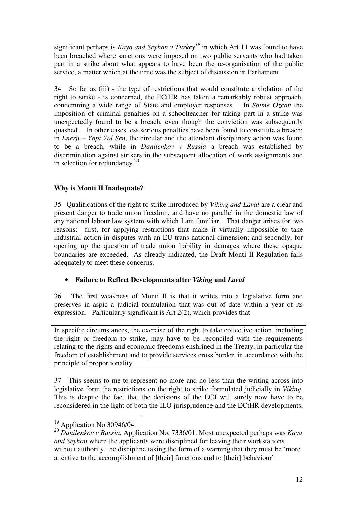significant perhaps is *Kaya and Seyhan v Turkey<sup>19</sup>* in which Art 11 was found to have been breached where sanctions were imposed on two public servants who had taken part in a strike about what appears to have been the re-organisation of the public service, a matter which at the time was the subject of discussion in Parliament.

34 So far as (iii) - the type of restrictions that would constitute a violation of the right to strike - is concerned, the ECtHR has taken a remarkably robust approach, condemning a wide range of State and employer responses. In *Saime Ozcan* the imposition of criminal penalties on a schoolteacher for taking part in a strike was unexpectedly found to be a breach, even though the conviction was subsequently quashed. In other cases less serious penalties have been found to constitute a breach: in *Enerji – Yapi Yol Sen*, the circular and the attendant disciplinary action was found to be a breach, while in *Danilenkov v Russia* a breach was established by discrimination against strikers in the subsequent allocation of work assignments and in selection for redundancy. $20$ 

# **Why is Monti II Inadequate?**

35 Qualifications of the right to strike introduced by *Viking and Laval* are a clear and present danger to trade union freedom, and have no parallel in the domestic law of any national labour law system with which I am familiar. That danger arises for two reasons: first, for applying restrictions that make it virtually impossible to take industrial action in disputes with an EU trans-national dimension; and secondly, for opening up the question of trade union liability in damages where these opaque boundaries are exceeded. As already indicated, the Draft Monti II Regulation fails adequately to meet these concerns.

### • **Failure to Reflect Developments after** *Viking* **and** *Laval*

36 The first weakness of Monti II is that it writes into a legislative form and preserves in aspic a judicial formulation that was out of date within a year of its expression. Particularly significant is Art 2(2), which provides that

In specific circumstances, the exercise of the right to take collective action, including the right or freedom to strike, may have to be reconciled with the requirements relating to the rights and economic freedoms enshrined in the Treaty, in particular the freedom of establishment and to provide services cross border, in accordance with the principle of proportionality.

37 This seems to me to represent no more and no less than the writing across into legislative form the restrictions on the right to strike formulated judicially in *Viking*. This is despite the fact that the decisions of the ECJ will surely now have to be reconsidered in the light of both the ILO jurisprudence and the ECtHR developments,

 $19$  Application No 30946/04.

<sup>20</sup> *Danilenkov v Russia*, Application No. 7336/01. Most unexpected perhaps was *Kaya and Seyhan* where the applicants were disciplined for leaving their workstations without authority, the discipline taking the form of a warning that they must be 'more attentive to the accomplishment of [their] functions and to [their] behaviour'.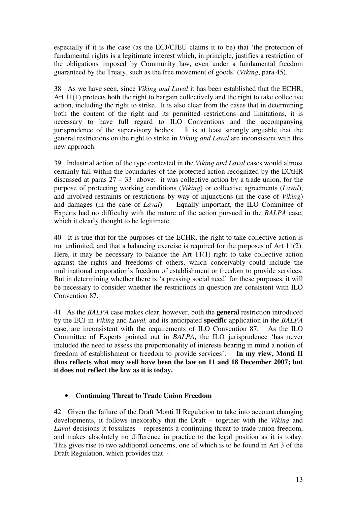especially if it is the case (as the ECJ/CJEU claims it to be) that 'the protection of fundamental rights is a legitimate interest which, in principle, justifies a restriction of the obligations imposed by Community law, even under a fundamental freedom guaranteed by the Treaty, such as the free movement of goods' (*Viking*, para 45).

38 As we have seen, since *Viking and Laval* it has been established that the ECHR, Art 11(1) protects both the right to bargain collectively and the right to take collective action, including the right to strike. It is also clear from the cases that in determining both the content of the right and its permitted restrictions and limitations, it is necessary to have full regard to ILO Conventions and the accompanying jurisprudence of the supervisory bodies. It is at least strongly arguable that the general restrictions on the right to strike in *Viking and Laval* are inconsistent with this new approach.

39 Industrial action of the type contested in the *Viking and Laval* cases would almost certainly fall within the boundaries of the protected action recognized by the ECtHR discussed at paras  $27 - 33$  above: it was collective action by a trade union, for the purpose of protecting working conditions (*Viking*) or collective agreements (*Laval*), and involved restraints or restrictions by way of injunctions (in the case of *Viking*) and damages (in the case of *Laval*). Equally important, the ILO Committee of Experts had no difficulty with the nature of the action pursued in the *BALPA* case, which it clearly thought to be legitimate.

40 It is true that for the purposes of the ECHR, the right to take collective action is not unlimited, and that a balancing exercise is required for the purposes of Art 11(2). Here, it may be necessary to balance the Art 11(1) right to take collective action against the rights and freedoms of others, which conceivably could include the multinational corporation's freedom of establishment or freedom to provide services. But in determining whether there is 'a pressing social need' for these purposes, it will be necessary to consider whether the restrictions in question are consistent with ILO Convention 87.

41 As the *BALPA* case makes clear, however, both the **general** restriction introduced by the ECJ in *Viking* and *Laval,* and its anticipated **specific** application in the *BALPA* case, are inconsistent with the requirements of ILO Convention 87. As the ILO Committee of Experts pointed out in *BALPA*, the ILO jurisprudence 'has never included the need to assess the proportionality of interests bearing in mind a notion of freedom of establishment or freedom to provide services'. **In my view, Monti II thus reflects what may well have been the law on 11 and 18 December 2007; but it does not reflect the law as it is today.**

### • **Continuing Threat to Trade Union Freedom**

42 Given the failure of the Draft Monti II Regulation to take into account changing developments, it follows inexorably that the Draft – together with the *Viking* and *Laval* decisions it fossilizes – represents a continuing threat to trade union freedom, and makes absolutely no difference in practice to the legal position as it is today. This gives rise to two additional concerns, one of which is to be found in Art 3 of the Draft Regulation, which provides that -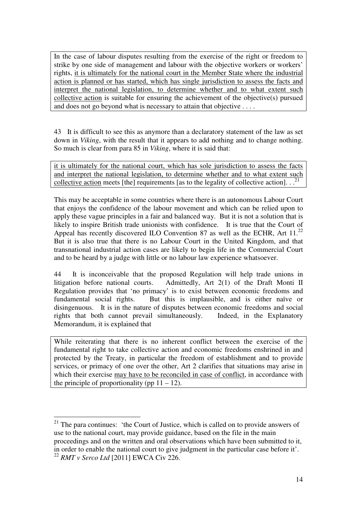In the case of labour disputes resulting from the exercise of the right or freedom to strike by one side of management and labour with the objective workers or workers' rights, it is ultimately for the national court in the Member State where the industrial action is planned or has started, which has single jurisdiction to assess the facts and interpret the national legislation, to determine whether and to what extent such collective action is suitable for ensuring the achievement of the objective(s) pursued and does not go beyond what is necessary to attain that objective . . . .

43 It is difficult to see this as anymore than a declaratory statement of the law as set down in *Viking*, with the result that it appears to add nothing and to change nothing. So much is clear from para 85 in *Viking*, where it is said that:

it is ultimately for the national court, which has sole jurisdiction to assess the facts and interpret the national legislation, to determine whether and to what extent such collective action meets [the] requirements [as to the legality of collective action].  $\cdot$ <sup>21</sup>

This may be acceptable in some countries where there is an autonomous Labour Court that enjoys the confidence of the labour movement and which can be relied upon to apply these vague principles in a fair and balanced way. But it is not a solution that is likely to inspire British trade unionists with confidence. It is true that the Court of Appeal has recently discovered ILO Convention 87 as well as the ECHR, Art  $11.^{22}$ But it is also true that there is no Labour Court in the United Kingdom, and that transnational industrial action cases are likely to begin life in the Commercial Court and to be heard by a judge with little or no labour law experience whatsoever.

44 It is inconceivable that the proposed Regulation will help trade unions in litigation before national courts. Admittedly, Art 2(1) of the Draft Monti II Regulation provides that 'no primacy' is to exist between economic freedoms and fundamental social rights. But this is implausible, and is either naïve or disingenuous. It is in the nature of disputes between economic freedoms and social rights that both cannot prevail simultaneously. Indeed, in the Explanatory Memorandum, it is explained that

While reiterating that there is no inherent conflict between the exercise of the fundamental right to take collective action and economic freedoms enshrined in and protected by the Treaty, in particular the freedom of establishment and to provide services, or primacy of one over the other, Art 2 clarifies that situations may arise in which their exercise may have to be reconciled in case of conflict, in accordance with the principle of proportionality (pp  $11 - 12$ ).

 $\overline{a}$  $2<sup>1</sup>$  The para continues: 'the Court of Justice, which is called on to provide answers of use to the national court, may provide guidance, based on the file in the main proceedings and on the written and oral observations which have been submitted to it, in order to enable the national court to give judgment in the particular case before it'. <sup>22</sup> *RMT v Serco Ltd* [2011] EWCA Civ 226.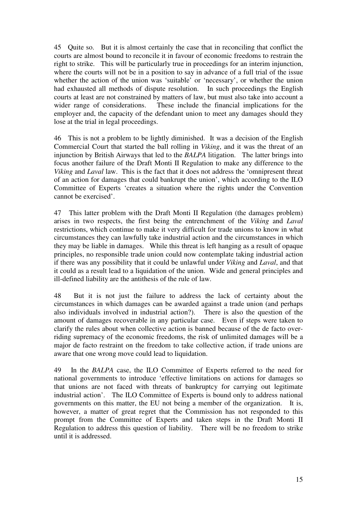45 Quite so. But it is almost certainly the case that in reconciling that conflict the courts are almost bound to reconcile it in favour of economic freedoms to restrain the right to strike. This will be particularly true in proceedings for an interim injunction, where the courts will not be in a position to say in advance of a full trial of the issue whether the action of the union was 'suitable' or 'necessary', or whether the union had exhausted all methods of dispute resolution. In such proceedings the English courts at least are not constrained by matters of law, but must also take into account a wider range of considerations. These include the financial implications for the employer and, the capacity of the defendant union to meet any damages should they lose at the trial in legal proceedings.

46 This is not a problem to be lightly diminished. It was a decision of the English Commercial Court that started the ball rolling in *Viking*, and it was the threat of an injunction by British Airways that led to the *BALPA* litigation. The latter brings into focus another failure of the Draft Monti II Regulation to make any difference to the *Viking* and *Laval* law. This is the fact that it does not address the 'omnipresent threat of an action for damages that could bankrupt the union', which according to the ILO Committee of Experts 'creates a situation where the rights under the Convention cannot be exercised'.

47 This latter problem with the Draft Monti II Regulation (the damages problem) arises in two respects, the first being the entrenchment of the *Viking* and *Laval* restrictions, which continue to make it very difficult for trade unions to know in what circumstances they can lawfully take industrial action and the circumstances in which they may be liable in damages. While this threat is left hanging as a result of opaque principles, no responsible trade union could now contemplate taking industrial action if there was any possibility that it could be unlawful under *Viking* and *Laval*, and that it could as a result lead to a liquidation of the union. Wide and general principles and ill-defined liability are the antithesis of the rule of law.

48 But it is not just the failure to address the lack of certainty about the circumstances in which damages can be awarded against a trade union (and perhaps also individuals involved in industrial action?). There is also the question of the amount of damages recoverable in any particular case. Even if steps were taken to clarify the rules about when collective action is banned because of the de facto overriding supremacy of the economic freedoms, the risk of unlimited damages will be a major de facto restraint on the freedom to take collective action, if trade unions are aware that one wrong move could lead to liquidation.

49 In the *BALPA* case, the ILO Committee of Experts referred to the need for national governments to introduce 'effective limitations on actions for damages so that unions are not faced with threats of bankruptcy for carrying out legitimate industrial action'. The ILO Committee of Experts is bound only to address national governments on this matter, the EU not being a member of the organization. It is, however, a matter of great regret that the Commission has not responded to this prompt from the Committee of Experts and taken steps in the Draft Monti II Regulation to address this question of liability. There will be no freedom to strike until it is addressed.